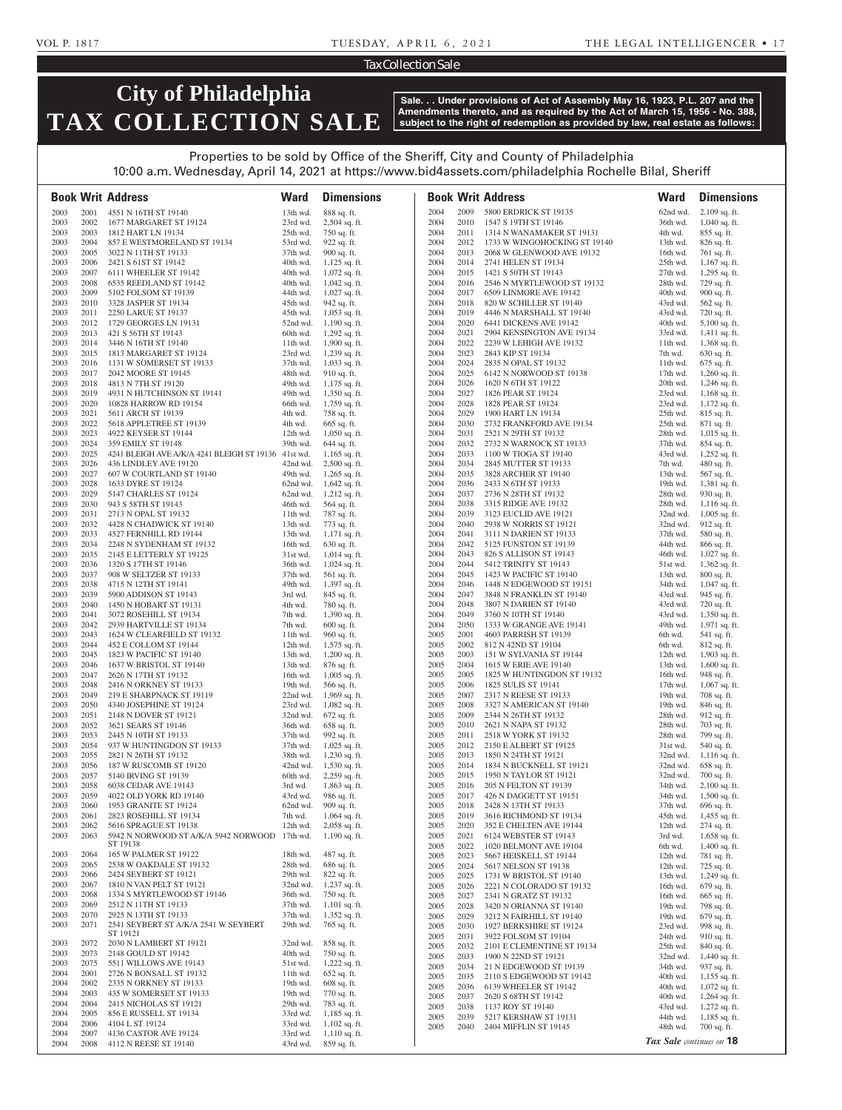### Tax Collection Sale

# **City of Philadelphia TAX COLLECTION SALE**

**Sale. . . Under provisions of Act of Assembly May 16, 1923, P.L. 207 and the Amendments thereto, and as required by the Act of March 15, 1956 - No. 388, subject to the right of redemption as provided by law, real estate as follows:**

Properties to be sold by Office of the Sheriff, City and County of Philadelphia 10:00 a.m. Wednesday, April 14, 2021 at https://www.bid4assets.com/philadelphia Rochelle Bilal, Sheriff

|              |              | <b>Book Writ Address</b>                                  | <b>Ward</b>          | <b>Dimensions</b>                  |              |              | <b>Book Writ Address</b>                            | <b>Ward</b>              | <b>Dimensions</b>                  |
|--------------|--------------|-----------------------------------------------------------|----------------------|------------------------------------|--------------|--------------|-----------------------------------------------------|--------------------------|------------------------------------|
| 2003         | 2001         | 4551 N 16TH ST 19140                                      | 13th wd.             | 888 sq. ft.                        | 2004         | 2009         | 5800 ERDRICK ST 19135                               | 62nd wd.                 | $2,109$ sq. ft.                    |
| 2003         | 2002         | 1677 MARGARET ST 19124                                    | 23rd wd.             | $2,504$ sq. ft.                    | 2004         | 2010         | 1547 S 19TH ST 19146                                | 36th wd.                 | $1,040$ sq. ft.                    |
| 2003         | 2003         | 1812 HART LN 19134                                        | 25th wd.             | 750 sq. ft.                        | 2004         | 2011         | 1314 N WANAMAKER ST 19131                           | 4th wd.                  | 855 sq. ft.                        |
| 2003         | 2004         | 857 E WESTMORELAND ST 19134                               | 53rd wd.             | 922 sq. ft.                        | 2004         | 2012         | 1733 W WINGOHOCKING ST 19140                        | $13th$ wd.               | 826 sq. ft.                        |
| 2003         | 2005         | 3022 N 11TH ST 19133                                      | 37th wd.             | 900 sq. ft.                        | 2004         | 2013         | 2068 W GLENWOOD AVE 19132                           | 16th wd.                 | 761 sq. ft.                        |
| 2003         | 2006         | 2421 S 61ST ST 19142                                      | 40th wd.             | $1,125$ sq. ft.                    | 2004         | 2014         | 2741 HELEN ST 19134                                 | $25th$ wd.               | $1,167$ sq. ft.                    |
| 2003         | 2007         | 6111 WHEELER ST 19142                                     | 40th wd.             | $1,072$ sq. ft.                    | 2004         | 2015         | 1421 S 50TH ST 19143                                | $27th$ wd.               | $1,295$ sq. ft.                    |
| 2003         | 2008         | 6535 REEDLAND ST 19142                                    | 40th wd.             | $1,042$ sq. ft.                    | 2004         | 2016         | 2546 N MYRTLEWOOD ST 19132                          | 28th wd.                 | 729 sq. ft.                        |
| 2003         | 2009         | 5102 FOLSOM ST 19139                                      | 44th wd.             | $1,027$ sq. ft.                    | 2004         | 2017         | 6509 LINMORE AVE 19142                              | 40th wd.                 | 900 sq. ft.                        |
| 2003         | 2010         | 3328 JASPER ST 19134                                      | 45th wd.<br>45th wd. | 942 sq. ft.                        | 2004<br>2004 | 2018<br>2019 | 820 W SCHILLER ST 19140<br>4446 N MARSHALL ST 19140 | 43rd wd.<br>43rd wd.     | 562 sq. ft.                        |
| 2003<br>2003 | 2011<br>2012 | 2250 LARUE ST 19137<br>1729 GEORGES LN 19131              | 52nd wd.             | $1,053$ sq. ft.<br>$1,190$ sq. ft. | 2004         | 2020         | 6441 DICKENS AVE 19142                              | 40th wd.                 | 720 sq. ft.<br>$5,100$ sq. ft.     |
| 2003         | 2013         | 421 S 56TH ST 19143                                       | 60th wd.             | $1,292$ sq. ft.                    | 2004         | 2021         | 2904 KENSINGTON AVE 19134                           | 33rd wd.                 | $1,411$ sq. ft.                    |
| 2003         | 2014         | 3446 N 16TH ST 19140                                      | 11th wd.             | $1,900$ sq. ft.                    | 2004         | 2022         | 2239 W LEHIGH AVE 19132                             | 11th wd.                 | 1,368 sq. ft.                      |
| 2003         | 2015         | 1813 MARGARET ST 19124                                    | 23rd wd.             | $1,239$ sq. ft.                    | 2004         | 2023         | 2843 KIP ST 19134                                   | 7th wd.                  | 630 sq. ft.                        |
| 2003         | 2016         | 1131 W SOMERSET ST 19133                                  | 37th wd.             | $1,033$ sq. ft.                    | 2004         | 2024         | 2835 N OPAL ST 19132                                | $11th$ wd.               | 675 sq. ft.                        |
| 2003         | 2017         | 2042 MOORE ST 19145                                       | 48th wd.             | 910 sq. ft.                        | 2004         | 2025         | 6142 N NORWOOD ST 19138                             | $17th$ wd.               | $1,260$ sq. ft.                    |
| 2003         | 2018         | 4813 N 7TH ST 19120                                       | 49th wd.             | $1,175$ sq. ft.                    | 2004         | 2026         | 1620 N 6TH ST 19122                                 | 20th wd.                 | $1,246$ sq. ft.                    |
| 2003         | 2019         | 4931 N HUTCHINSON ST 19141                                | 49th wd.             | 1,350 sq. ft.                      | 2004         | 2027         | 1826 PEAR ST 19124                                  | 23rd wd.                 | $1,168$ sq. ft.                    |
| 2003         | 2020         | 10828 HARROW RD 19154                                     | 66th wd.             | $1,759$ sq. ft.                    | 2004         | 2028         | 1828 PEAR ST 19124                                  | 23rd wd.                 | $1,172$ sq. ft.                    |
| 2003         | 2021         | 5611 ARCH ST 19139                                        | 4th wd.              | 758 sq. ft.                        | 2004         | 2029         | 1900 HART LN 19134                                  | $25th$ wd.               | 815 sq. ft.                        |
| 2003<br>2003 | 2022<br>2023 | 5618 APPLETREE ST 19139<br>4922 KEYSER ST 19144           | 4th wd.<br>12th wd.  | 665 sq. ft.<br>$1,050$ sq. ft.     | 2004<br>2004 | 2030<br>2031 | 2732 FRANKFORD AVE 19134<br>2521 N 29TH ST 19132    | $25th$ wd.<br>28th wd.   | 871 sq. ft.<br>$1,015$ sq. ft.     |
| 2003         | 2024         | 359 EMILY ST 19148                                        | 39th wd.             | 644 sq. ft.                        | 2004         | 2032         | 2732 N WARNOCK ST 19133                             | 37th wd.                 | 854 sq. ft.                        |
| 2003         | 2025         | 4241 BLEIGH AVE A/K/A 4241 BLEIGH ST 19136 41st wd.       |                      | $1,165$ sq. ft.                    | 2004         | 2033         | 1100 W TIOGA ST 19140                               | 43rd wd.                 | $1,252$ sq. ft.                    |
| 2003         | 2026         | 436 LINDLEY AVE 19120                                     | 42nd wd.             | $2,500$ sq. ft.                    | 2004         | 2034         | 2845 MUTTER ST 19133                                | 7th wd.                  | 480 sq. ft.                        |
| 2003         | 2027         | 607 W COURTLAND ST 19140                                  | 49th wd.             | $1,265$ sq. ft.                    | 2004         | 2035         | 3828 ARCHER ST 19140                                | 13th wd.                 | 567 sq. ft.                        |
| 2003         | 2028         | 1633 DYRE ST 19124                                        | 62nd wd.             | $1,642$ sq. ft.                    | 2004         | 2036         | 2433 N 6TH ST 19133                                 | 19th $wd$ .              | $1,381$ sq. ft.                    |
| 2003         | 2029         | 5147 CHARLES ST 19124                                     | 62nd wd.             | $1,212$ sq. ft.                    | 2004         | 2037         | 2736 N 28TH ST 19132                                | 28th wd.                 | 930 sq. ft.                        |
| 2003         | 2030         | 943 S 58TH ST 19143                                       | 46th wd.             | 564 sq. ft.                        | 2004         | 2038         | 3315 RIDGE AVE 19132                                | 28th wd.                 | $1,116$ sq. ft.                    |
| 2003         | 2031         | 2713 N OPAL ST 19132                                      | $11th$ wd.           | 787 sq. ft.                        | 2004         | 2039         | 3123 EUCLID AVE 19121                               | 32nd wd.                 | $1,005$ sq. ft.                    |
| 2003         | 2032         | 4428 N CHADWICK ST 19140                                  | 13th wd.             | 773 sq. ft.                        | 2004         | 2040         | 2938 W NORRIS ST 19121                              | 32nd wd.                 | 912 sq. ft.                        |
| 2003         | 2033         | 4527 FERNHILL RD 19144                                    | 13th wd.             | $1,171$ sq. ft.                    | 2004         | 2041         | 3111 N DARIEN ST 19133                              | 37th wd.                 | 580 sq. ft.                        |
| 2003<br>2003 | 2034         | 2248 N SYDENHAM ST 19132                                  | 16th wd.             | 630 sq. ft.                        | 2004         | 2042         | 5125 FUNSTON ST 19139                               | 44th wd.                 | 866 sq. ft.                        |
| 2003         | 2035<br>2036 | 2145 E LETTERLY ST 19125<br>1320 S 17TH ST 19146          | 31st wd.<br>36th wd. | $1,014$ sq. ft.<br>$1,024$ sq. ft. | 2004<br>2004 | 2043<br>2044 | 826 S ALLISON ST 19143<br>5412 TRINITY ST 19143     | 46th wd.<br>51st wd.     | $1,027$ sq. ft.<br>1,362 sq. ft.   |
| 2003         | 2037         | 908 W SELTZER ST 19133                                    | 37th wd.             | 561 sq. ft.                        | 2004         | 2045         | 1423 W PACIFIC ST 19140                             | 13th wd.                 | 800 sq. ft.                        |
| 2003         | 2038         | 4715 N 12TH ST 19141                                      | 49th wd.             | 1,397 sq. ft.                      | 2004         | 2046         | 1448 N EDGEWOOD ST 19151                            | 34th wd.                 | $1,047$ sq. ft.                    |
| 2003         | 2039         | 5900 ADDISON ST 19143                                     | 3rd wd.              | 845 sq. ft.                        | 2004         | 2047         | 3848 N FRANKLIN ST 19140                            | 43rd wd.                 | 945 sq. ft.                        |
| 2003         | 2040         | 1450 N HOBART ST 19131                                    | 4th wd.              | 780 sq. ft.                        | 2004         | 2048         | 3807 N DARIEN ST 19140                              | 43rd wd.                 | 720 sq. ft.                        |
| 2003         | 2041         | 3072 ROSEHILL ST 19134                                    | 7th wd.              | $1,390$ sq. ft.                    | 2004         | 2049         | 3760 N 10TH ST 19140                                | 43rd wd.                 | $1,350$ sq. ft.                    |
| 2003         | 2042         | 2939 HARTVILLE ST 19134                                   | 7th wd.              | $600$ sq. ft.                      | 2004         | 2050         | 1333 W GRANGE AVE 19141                             | 49th wd.                 | 1,971 sq. ft.                      |
| 2003         | 2043         | 1624 W CLEARFIELD ST 19132                                | 11th wd.             | 960 sq. ft.                        | 2005         | 2001         | 4603 PARRISH ST 19139                               | 6th wd.                  | 541 sq. ft.                        |
| 2003         | 2044         | 452 E COLLOM ST 19144<br>1823 W PACIFIC ST 19140          | 12th wd.             | $1,575$ sq. ft.                    | 2005         | 2002         | 812 N 42ND ST 19104                                 | 6th wd.                  | 812 sq. ft.                        |
| 2003<br>2003 | 2045<br>2046 | 1637 W BRISTOL ST 19140                                   | 13th wd.<br>13th wd. | $1,200$ sq. ft.<br>876 sq. ft.     | 2005<br>2005 | 2003<br>2004 | 151 W SYLVANIA ST 19144<br>1615 W ERIE AVE 19140    | 12th wd.<br>13th wd.     | $1,903$ sq. ft.<br>$1,600$ sq. ft. |
| 2003         | 2047         | 2626 N 17TH ST 19132                                      | 16th wd.             | $1,005$ sq. ft.                    | 2005         | 2005         | 1825 W HUNTINGDON ST 19132                          | 16th wd.                 | 948 sq. ft.                        |
| 2003         | 2048         | 2416 N ORKNEY ST 19133                                    | 19th wd.             | 566 sq. ft.                        | 2005         | 2006         | 1825 SULIS ST 19141                                 | 17th wd.                 | $1,067$ sq. ft.                    |
| 2003         | 2049         | 219 E SHARPNACK ST 19119                                  | 22nd wd.             | $1,969$ sq. ft.                    | 2005         | 2007         | 2317 N REESE ST 19133                               | 19th $wd$ .              | 708 sq. ft.                        |
| 2003         | 2050         | 4340 JOSEPHINE ST 19124                                   | 23rd wd.             | $1,082$ sq. ft.                    | 2005         | 2008         | 3327 N AMERICAN ST 19140                            | 19th wd.                 | 846 sq. ft.                        |
| 2003         | 2051         | 2148 N DOVER ST 19121                                     | 32nd wd.             | 672 sq. ft.                        | 2005         | 2009         | 2344 N 26TH ST 19132                                | 28th wd.                 | 912 sq. ft.                        |
| 2003         | 2052         | 3621 SEARS ST 19146                                       | 36th wd.             | 658 sq. ft.                        | 2005         | 2010         | 2621 N NAPA ST 19132                                | 28th wd.                 | 703 sq. ft.                        |
| 2003<br>2003 | 2053<br>2054 | 2445 N 10TH ST 19133                                      | 37th wd.             | 992 sq. ft.                        | 2005<br>2005 | 2011<br>2012 | 2518 W YORK ST 19132<br>2150 E ALBERT ST 19125      | 28th wd.<br>31st wd.     | 799 sq. ft.<br>540 sq. ft.         |
| 2003         | 2055         | 937 W HUNTINGDON ST 19133<br>2821 N 26TH ST 19132         | 37th wd.<br>38th wd. | $1,025$ sq. ft.<br>$1,230$ sq. ft. | 2005         | 2013         | 1850 N 24TH ST 19121                                | 32nd wd.                 | $1,116$ sq. ft.                    |
| 2003         | 2056         | 187 W RUSCOMB ST 19120                                    | 42nd wd.             | 1,530 sq. ft.                      | 2005         | 2014         | 1834 N BUCKNELL ST 19121                            | 32nd wd.                 | 658 sq. ft.                        |
| 2003         | 2057         | 5140 IRVING ST 19139                                      | 60th wd.             | $2,259$ sq. ft.                    | 2005         | 2015         | 1950 N TAYLOR ST 19121                              | 32nd wd.                 | 700 sq. ft.                        |
| 2003         | 2058         | 6038 CEDAR AVE 19143                                      | 3rd wd.              | $1,863$ sq. ft.                    | 2005         | 2016         | 205 N FELTON ST 19139                               | 34th wd.                 | $2,100$ sq. ft.                    |
| 2003         | 2059         | 4022 OLD YORK RD 19140                                    | 43rd wd.             | 986 sq. ft.                        | 2005         | 2017         | 426 N DAGGETT ST 19151                              | 34th wd.                 | $1,500$ sq. ft.                    |
| 2003         | 2060         | 1953 GRANITE ST 19124                                     | 62nd wd.             | 909 sq. ft.                        | 2005         | 2018         | 2428 N 13TH ST 19133                                | 37th wd.                 | 696 sq. ft.                        |
| 2003         | 2061         | 2823 ROSEHILL ST 19134                                    | 7th wd.              | $1,064$ sq. ft.                    | 2005         | 2019         | 3616 RICHMOND ST 19134                              | 45th wd.                 | $1,455$ sq. ft.                    |
| 2003         | 2062         | 5616 SPRAGUE ST 19138                                     | 12th wd.             | 2,058 sq. ft.                      | 2005         | 2020         | 352 E CHELTEN AVE 19144                             | 12th wd.                 | 274 sq. ft.                        |
| 2003         | 2063         | 5942 N NORWOOD ST A/K/A 5942 NORWOOD 17th wd.<br>ST 19138 |                      | $1,190$ sq. ft.                    | 2005<br>2005 | 2021<br>2022 | 6124 WEBSTER ST 19143<br>1020 BELMONT AVE 19104     | 3rd wd.<br>6th wd.       | $1,658$ sq. ft.<br>1,400 sq. ft.   |
| 2003         | 2064         | 165 W PALMER ST 19122                                     | 18th wd.             | 487 sq. ft.                        | 2005         | 2023         | 5667 HEISKELL ST 19144                              | 12th wd.                 | 781 sq. ft.                        |
| 2003         | 2065         | 2538 W OAKDALE ST 19132                                   | 28th wd.             | 686 sq. ft.                        | 2005         | 2024         | 5617 NELSON ST 19138                                | 12th wd.                 | 725 sq. ft.                        |
| 2003         | 2066         | 2424 SEYBERT ST 19121                                     | 29th wd.             | 822 sq. ft.                        | 2005         | 2025         | 1731 W BRISTOL ST 19140                             | 13th wd.                 | 1,249 sq. ft.                      |
| 2003         | 2067         | 1810 N VAN PELT ST 19121                                  | 32nd wd.             | 1,237 sq. ft.                      | 2005         | 2026         | 2221 N COLORADO ST 19132                            | 16th wd.                 | 679 sq. ft.                        |
| 2003         | 2068         | 1334 S MYRTLEWOOD ST 19146                                | 36th wd.             | 750 sq. ft.                        | 2005         | 2027         | 2341 N GRATZ ST 19132                               | 16th wd.                 | 665 sq. ft.                        |
| 2003         | 2069<br>2070 | 2512 N 11TH ST 19133<br>2925 N 13TH ST 19133              | 37th wd.             | $1,101$ sq. ft.                    | 2005         | 2028         | 3420 N ORIANNA ST 19140                             | 19th wd.                 | 798 sq. ft.                        |
| 2003<br>2003 | 2071         | 2541 SEYBERT ST A/K/A 2541 W SEYBERT                      | 37th wd.<br>29th wd. | 1,352 sq. ft.<br>765 sq. ft.       | 2005         | 2029         | 3212 N FAIRHILL ST 19140                            | 19th $wd$ .              | 679 sq. ft.                        |
|              |              | ST 19121                                                  |                      |                                    | 2005<br>2005 | 2030<br>2031 | 1927 BERKSHIRE ST 19124<br>3922 FOLSOM ST 19104     | 23rd wd.<br>24th wd.     | 998 sq. ft.<br>910 sq. ft.         |
| 2003         | 2072         | 2030 N LAMBERT ST 19121                                   | 32nd wd.             | 858 sq. ft.                        | 2005         | 2032         | 2101 E CLEMENTINE ST 19134                          | $25th$ wd.               | 840 sq. ft.                        |
| 2003         | 2073         | 2148 GOULD ST 19142                                       | 40th wd.             | 750 sq. ft.                        | 2005         | 2033         | 1900 N 22ND ST 19121                                | 32nd wd.                 | $1,440$ sq. ft.                    |
| 2003         | 2075         | 5511 WILLOWS AVE 19143                                    | 51st wd.             | $1,222$ sq. ft.                    | 2005         | 2034         | 21 N EDGEWOOD ST 19139                              | 34th wd.                 | 937 sq. ft.                        |
| 2004         | 2001         | 2726 N BONSALL ST 19132                                   | 11th wd.             | 652 sq. ft.                        | 2005         | 2035         | 2110 S EDGEWOOD ST 19142                            | 40th wd.                 | $1,155$ sq. ft.                    |
| 2004         | 2002         | 2335 N ORKNEY ST 19133                                    | 19th wd.             | 608 sq. ft.                        | 2005         | 2036         | 6139 WHEELER ST 19142                               | $40th$ wd.               | 1,072 sq. ft.                      |
| 2004<br>2004 | 2003<br>2004 | 435 W SOMERSET ST 19133<br>2415 NICHOLAS ST 19121         | 19th wd.<br>29th wd. | 770 sq. ft.<br>783 sq. ft.         | 2005         | 2037         | 2620 S 68TH ST 19142                                | 40th wd.                 | $1,264$ sq. ft.                    |
| 2004         | 2005         | 856 E RUSSELL ST 19134                                    | 33rd wd.             | $1,185$ sq. ft.                    | 2005         | 2038         | 1137 ROY ST 19140                                   | 43rd wd.                 | $1,272$ sq. ft.                    |
| 2004         | 2006         | 4104 L ST 19124                                           | 33rd wd.             | $1,102$ sq. ft.                    | 2005<br>2005 | 2039<br>2040 | 5217 KERSHAW ST 19131<br>2404 MIFFLIN ST 19145      | 44th wd.<br>48th wd.     | $1,185$ sq. ft.<br>700 sq. ft.     |
| 2004         | 2007         | 4136 CASTOR AVE 19124                                     | 33rd wd.             | $1,110$ sq. ft.                    |              |              |                                                     |                          |                                    |
| 2004         | 2008         | 4112 N REESE ST 19140                                     | 43rd wd.             | 859 sq. ft.                        |              |              |                                                     | Tax Sale continues on 18 |                                    |